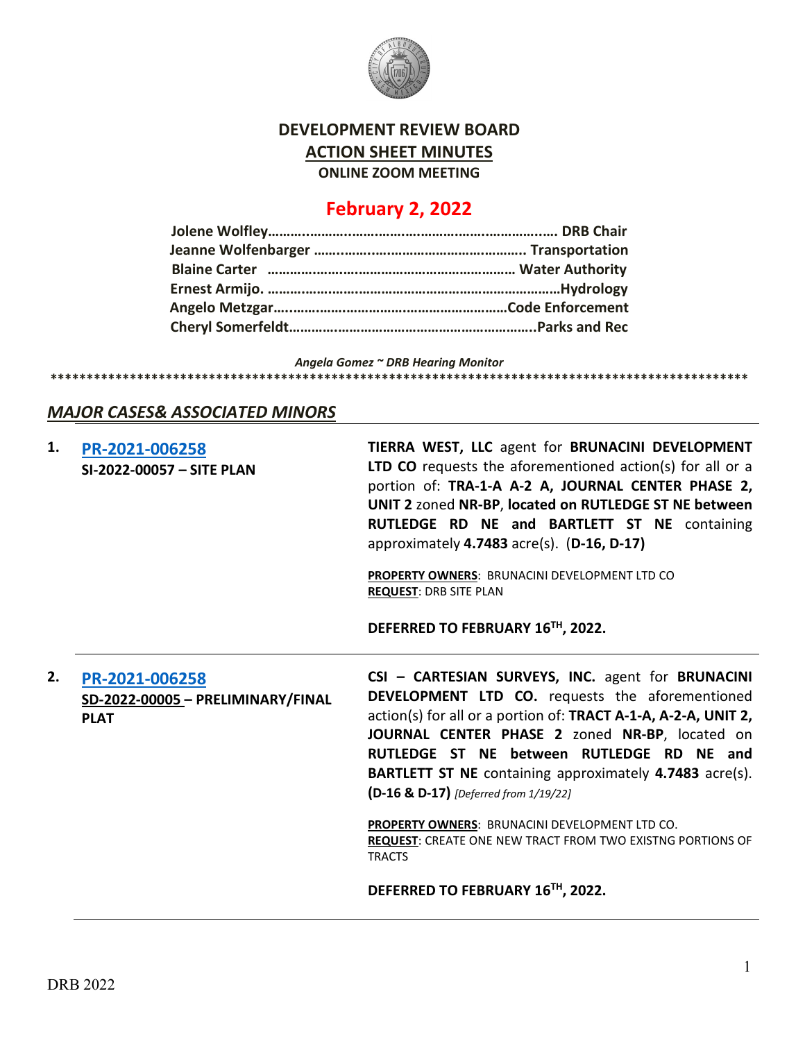

### **DEVELOPMENT REVIEW BOARD ACTION SHEET MINUTES ONLINE ZOOM MEETING**

## **February 2, 2022**

*Angela Gomez ~ DRB Hearing Monitor*

### **\*\*\*\*\*\*\*\*\*\*\*\*\*\*\*\*\*\*\*\*\*\*\*\*\*\*\*\*\*\*\*\*\*\*\*\*\*\*\*\*\*\*\*\*\*\*\*\*\*\*\*\*\*\*\*\*\*\*\*\*\*\*\*\*\*\*\*\*\*\*\*\*\*\*\*\*\*\*\*\*\*\*\*\*\*\*\*\*\*\*\*\*\*\*\*\*\***

### *MAJOR CASES& ASSOCIATED MINORS*

| TIERRA WEST, LLC agent for BRUNACINI DEVELOPMENT<br><b>LTD CO</b> requests the aforementioned action(s) for all or a<br>portion of: TRA-1-A A-2 A, JOURNAL CENTER PHASE 2,<br>UNIT 2 zoned NR-BP, located on RUTLEDGE ST NE between<br>RUTLEDGE RD NE and BARTLETT ST NE containing<br>approximately $4.7483$ acre(s). (D-16, D-17)<br>PROPERTY OWNERS: BRUNACINI DEVELOPMENT LTD CO<br><b>REQUEST: DRB SITE PLAN</b><br>DEFERRED TO FEBRUARY 16TH, 2022.                                                                                                    |
|--------------------------------------------------------------------------------------------------------------------------------------------------------------------------------------------------------------------------------------------------------------------------------------------------------------------------------------------------------------------------------------------------------------------------------------------------------------------------------------------------------------------------------------------------------------|
| CSI - CARTESIAN SURVEYS, INC. agent for BRUNACINI<br>DEVELOPMENT LTD CO. requests the aforementioned<br>action(s) for all or a portion of: TRACT A-1-A, A-2-A, UNIT 2,<br>JOURNAL CENTER PHASE 2 zoned NR-BP, located on<br>RUTLEDGE ST NE between RUTLEDGE RD NE and<br><b>BARTLETT ST NE</b> containing approximately 4.7483 acre(s).<br>(D-16 & D-17) [Deferred from 1/19/22]<br>PROPERTY OWNERS: BRUNACINI DEVELOPMENT LTD CO.<br><b>REQUEST: CREATE ONE NEW TRACT FROM TWO EXISTNG PORTIONS OF</b><br><b>TRACTS</b><br>DEFERRED TO FEBRUARY 16TH, 2022. |
|                                                                                                                                                                                                                                                                                                                                                                                                                                                                                                                                                              |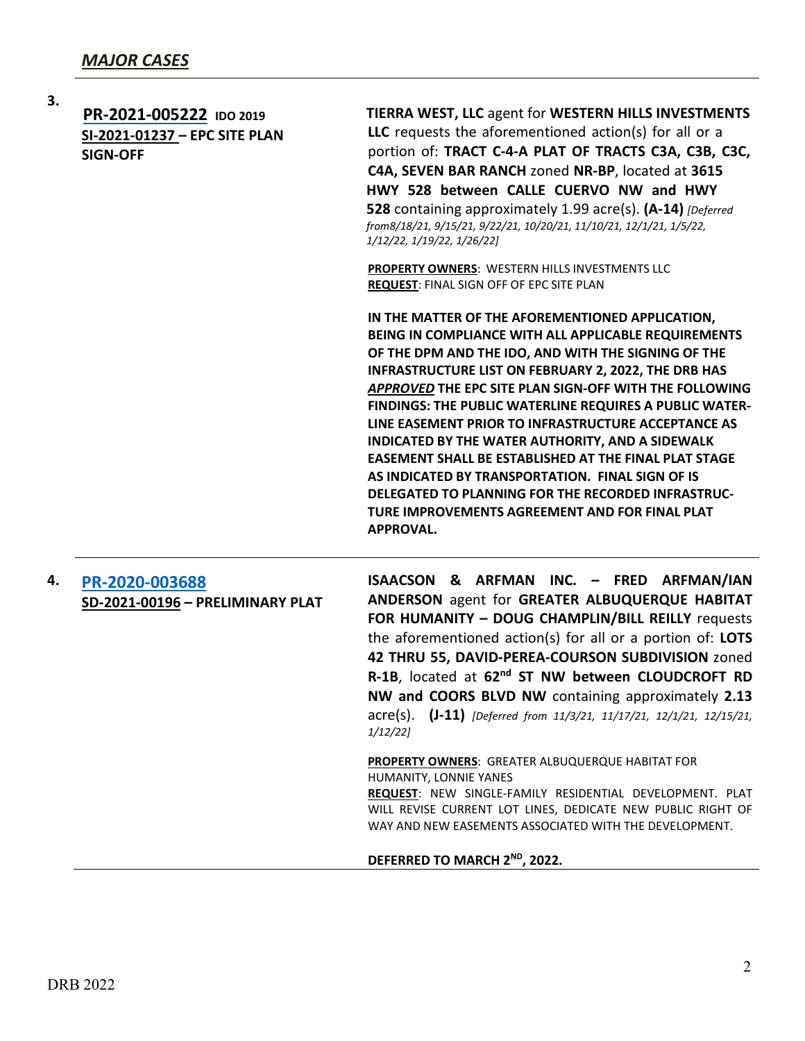|    | 3. | PR-2021-005222 IDO 2019<br>SI-2021-01237 - EPC SITE PLAN<br><b>SIGN-OFF</b> | <b>TIERRA WEST, LLC agent for WESTERN HILLS INVESTMENTS</b><br>LLC requests the aforementioned action(s) for all or a<br>portion of: TRACT C-4-A PLAT OF TRACTS C3A, C3B, C3C,<br>C4A, SEVEN BAR RANCH zoned NR-BP, located at 3615<br>HWY 528 between CALLE CUERVO NW and HWY<br>528 containing approximately 1.99 acre(s). (A-14) [Deferred]<br>from8/18/21, 9/15/21, 9/22/21, 10/20/21, 11/10/21, 12/1/21, 1/5/22,<br>1/12/22, 1/19/22, 1/26/22]<br>PROPERTY OWNERS: WESTERN HILLS INVESTMENTS LLC<br>REQUEST: FINAL SIGN OFF OF EPC SITE PLAN<br>IN THE MATTER OF THE AFOREMENTIONED APPLICATION,<br>BEING IN COMPLIANCE WITH ALL APPLICABLE REQUIREMENTS<br>OF THE DPM AND THE IDO, AND WITH THE SIGNING OF THE<br><b>INFRASTRUCTURE LIST ON FEBRUARY 2, 2022, THE DRB HAS</b><br>APPROVED THE EPC SITE PLAN SIGN-OFF WITH THE FOLLOWING<br>FINDINGS: THE PUBLIC WATERLINE REQUIRES A PUBLIC WATER-<br>LINE EASEMENT PRIOR TO INFRASTRUCTURE ACCEPTANCE AS<br>INDICATED BY THE WATER AUTHORITY, AND A SIDEWALK |
|----|----|-----------------------------------------------------------------------------|---------------------------------------------------------------------------------------------------------------------------------------------------------------------------------------------------------------------------------------------------------------------------------------------------------------------------------------------------------------------------------------------------------------------------------------------------------------------------------------------------------------------------------------------------------------------------------------------------------------------------------------------------------------------------------------------------------------------------------------------------------------------------------------------------------------------------------------------------------------------------------------------------------------------------------------------------------------------------------------------------------------------|
|    |    | PR-2020-003688<br>SD-2021-00196 - PRELIMINARY PLAT                          | ISAACSON & ARFMAN INC. - FRED ARFMAN/IAN<br>ANDERSON agent for GREATER ALBUQUERQUE HABITAT<br>FOR HUMANITY - DOUG CHAMPLIN/BILL REILLY requests<br>the aforementioned action(s) for all or a portion of: LOTS<br>42 THRU 55, DAVID-PEREA-COURSON SUBDIVISION zoned<br>R-1B, located at 62 <sup>nd</sup> ST NW between CLOUDCROFT RD<br>NW and COORS BLVD NW containing approximately 2.13<br>$\text{acre}(s)$ . (J-11) [Deferred from 11/3/21, 11/17/21, 12/1/21, 12/15/21,<br>1/12/22                                                                                                                                                                                                                                                                                                                                                                                                                                                                                                                              |
| 4. |    |                                                                             | <b>PROPERTY OWNERS: GREATER ALBUQUERQUE HABITAT FOR</b><br>HUMANITY, LONNIE YANES<br>REQUEST: NEW SINGLE-FAMILY RESIDENTIAL DEVELOPMENT. PLAT<br>WILL REVISE CURRENT LOT LINES, DEDICATE NEW PUBLIC RIGHT OF<br>WAY AND NEW EASEMENTS ASSOCIATED WITH THE DEVELOPMENT.                                                                                                                                                                                                                                                                                                                                                                                                                                                                                                                                                                                                                                                                                                                                              |
|    |    |                                                                             | DEFERRED TO MARCH 2 <sup>ND</sup> , 2022.                                                                                                                                                                                                                                                                                                                                                                                                                                                                                                                                                                                                                                                                                                                                                                                                                                                                                                                                                                           |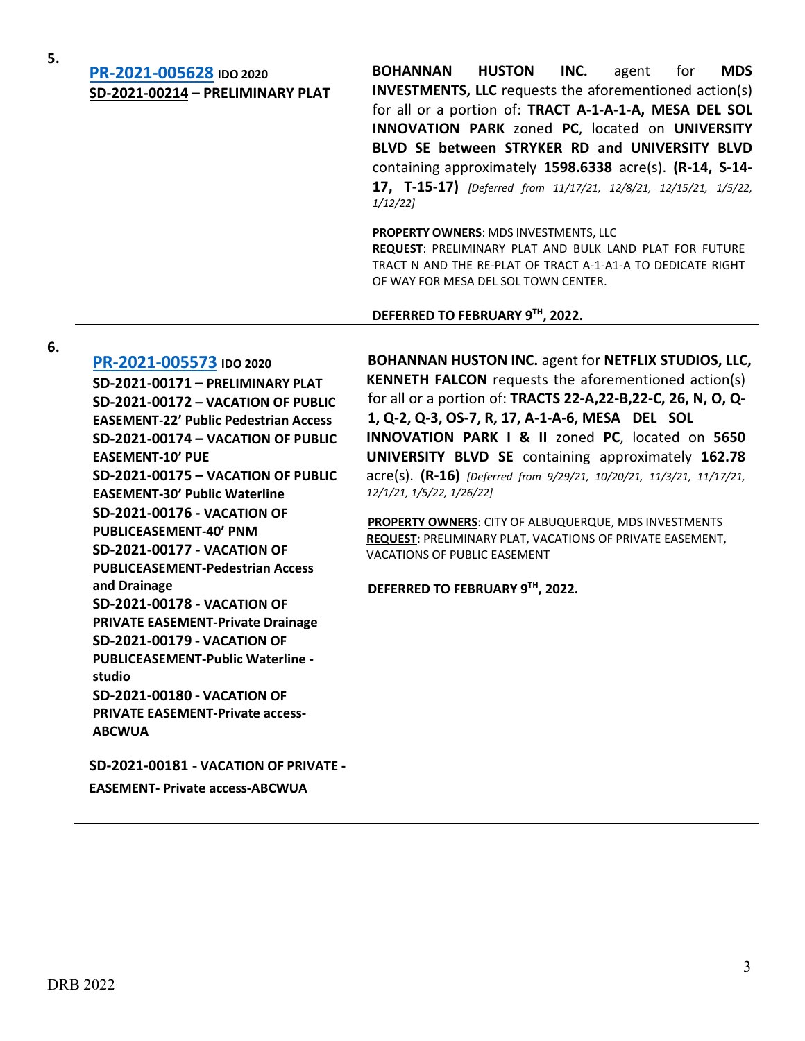# **5. [PR-2021-005628](http://data.cabq.gov/government/planning/DRB/PR-2021-005628/DRB%20Submittals/) IDO <sup>2020</sup> SD-2021-00214 – PRELIMINARY PLAT**

**BOHANNAN HUSTON INC.** agent for **MDS INVESTMENTS, LLC** requests the aforementioned action(s) for all or a portion of: **TRACT A-1-A-1-A, MESA DEL SOL INNOVATION PARK** zoned **PC**, located on **UNIVERSITY BLVD SE between STRYKER RD and UNIVERSITY BLVD** containing approximately **1598.6338** acre(s). **(R-14, S-14- 17, T-15-17)** *[Deferred from 11/17/21, 12/8/21, 12/15/21, 1/5/22, 1/12/22]*

**PROPERTY OWNERS**: MDS INVESTMENTS, LLC

**REQUEST**: PRELIMINARY PLAT AND BULK LAND PLAT FOR FUTURE TRACT N AND THE RE-PLAT OF TRACT A-1-A1-A TO DEDICATE RIGHT OF WAY FOR MESA DEL SOL TOWN CENTER.

**DEFERRED TO FEBRUARY 9TH, 2022.**

#### **6.**

**[PR-2021-005573](http://data.cabq.gov/government/planning/DRB/PR-2021-005573/DRB%20Submittals/) IDO 2020 SD-2021-00171 – PRELIMINARY PLAT SD-2021-00172 – VACATION OF PUBLIC EASEMENT-22' Public Pedestrian Access SD-2021-00174 – VACATION OF PUBLIC EASEMENT-10' PUE SD-2021-00175 – VACATION OF PUBLIC EASEMENT-30' Public Waterline SD-2021-00176 - VACATION OF PUBLICEASEMENT-40' PNM SD-2021-00177 - VACATION OF PUBLICEASEMENT-Pedestrian Access and Drainage SD-2021-00178 - VACATION OF PRIVATE EASEMENT-Private Drainage SD-2021-00179 - VACATION OF PUBLICEASEMENT-Public Waterline studio SD-2021-00180 - VACATION OF PRIVATE EASEMENT-Private access-ABCWUA**

**SD-2021-00181** - **VACATION OF PRIVATE - EASEMENT- Private access-ABCWUA**

**BOHANNAN HUSTON INC.** agent for **NETFLIX STUDIOS, LLC, KENNETH FALCON** requests the aforementioned action(s) for all or a portion of: **TRACTS 22-A,22-B,22-C, 26, N, O, Q-1, Q-2, Q-3, OS-7, R, 17, A-1-A-6, MESA DEL SOL INNOVATION PARK I & II** zoned **PC**, located on **5650 UNIVERSITY BLVD SE** containing approximately **162.78** acre(s). **(R-16)** *[Deferred from 9/29/21, 10/20/21, 11/3/21, 11/17/21, 12/1/21, 1/5/22, 1/26/22]*

**PROPERTY OWNERS**: CITY OF ALBUQUERQUE, MDS INVESTMENTS **REQUEST**: PRELIMINARY PLAT, VACATIONS OF PRIVATE EASEMENT, VACATIONS OF PUBLIC EASEMENT

**DEFERRED TO FEBRUARY 9TH, 2022.**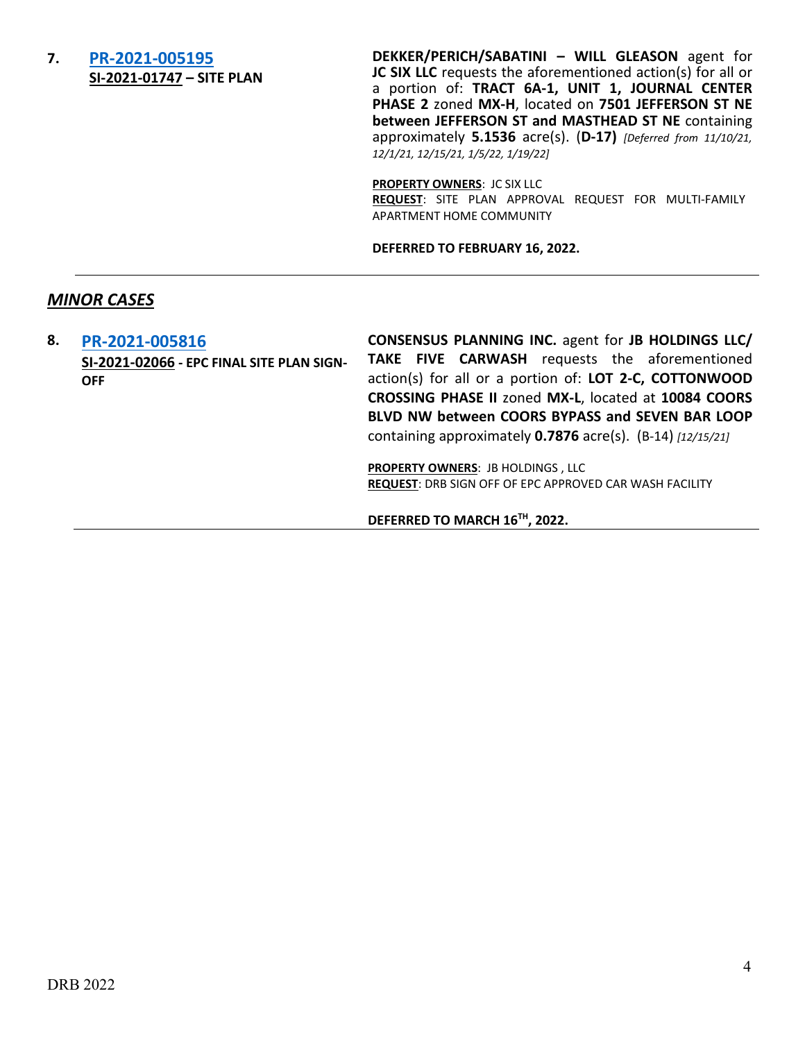### **7. [PR-2021-005195](http://data.cabq.gov/government/planning/DRB/PR-2021-005195/DRB%20Submittals/) SI-2021-01747 – SITE PLAN**

**DEKKER/PERICH/SABATINI – WILL GLEASON** agent for **JC SIX LLC** requests the aforementioned action(s) for all or a portion of: **TRACT 6A-1, UNIT 1, JOURNAL CENTER PHASE 2** zoned **MX-H**, located on **7501 JEFFERSON ST NE between JEFFERSON ST and MASTHEAD ST NE** containing approximately **5.1536** acre(s). (**D-17)** *[Deferred from 11/10/21, 12/1/21, 12/15/21, 1/5/22, 1/19/22]*

**PROPERTY OWNERS**: JC SIX LLC **REQUEST**: SITE PLAN APPROVAL REQUEST FOR MULTI-FAMILY APARTMENT HOME COMMUNITY

**DEFERRED TO FEBRUARY 16, 2022.**

### *MINOR CASES*

**8. [PR-2021-005816](http://data.cabq.gov/government/planning/DRB/PR-2021-005816/DRB%20Submittals/) SI-2021-02066 - EPC FINAL SITE PLAN SIGN-OFF CONSENSUS PLANNING INC.** agent for **JB HOLDINGS LLC/ TAKE FIVE CARWASH** requests the aforementioned action(s) for all or a portion of: **LOT 2-C, COTTONWOOD CROSSING PHASE II** zoned **MX-L**, located at **10084 COORS BLVD NW between COORS BYPASS and SEVEN BAR LOOP**  containing approximately **0.7876** acre(s). (B-14) *[12/15/21]* **PROPERTY OWNERS**: JB HOLDINGS , LLC **REQUEST**: DRB SIGN OFF OF EPC APPROVED CAR WASH FACILITY

**DEFERRED TO MARCH 16TH, 2022.**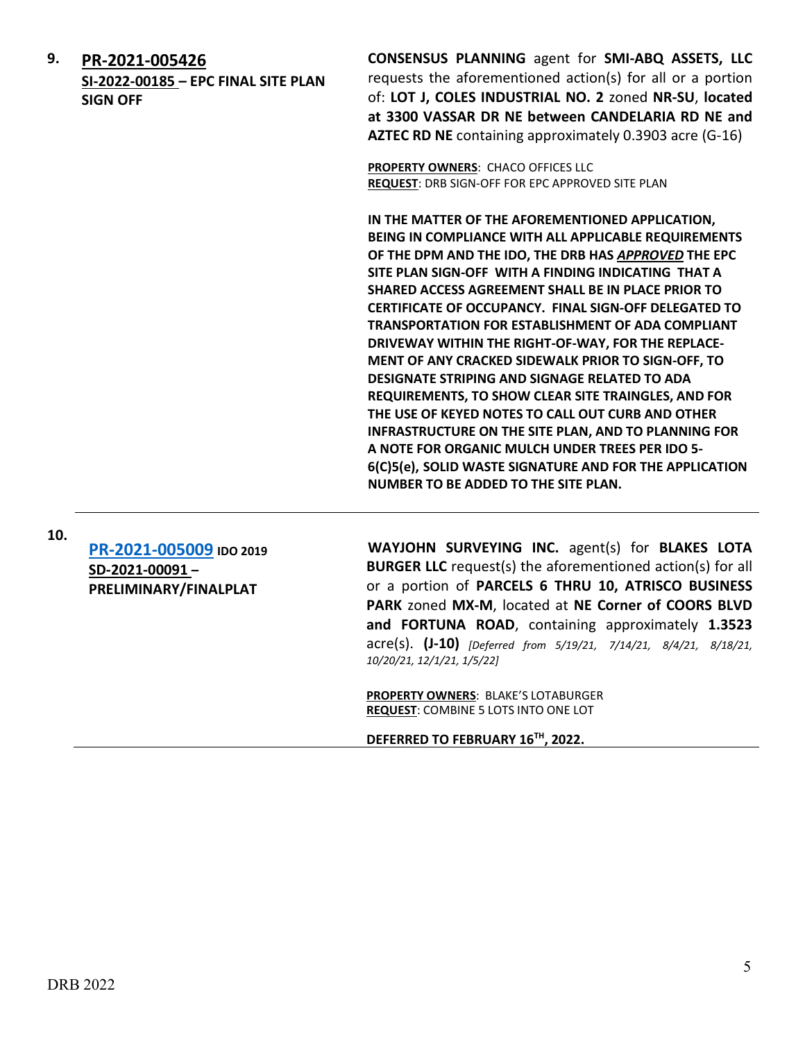**9. [PR-2021-005426](http://data.cabq.gov/government/planning/DRB/) SI-2022-00185 – EPC FINAL SITE PLAN SIGN OFF**

**CONSENSUS PLANNING** agent for **SMI-ABQ ASSETS, LLC** requests the aforementioned action(s) for all or a portion of: **LOT J, COLES INDUSTRIAL NO. 2** zoned **NR-SU**, **located at 3300 VASSAR DR NE between CANDELARIA RD NE and AZTEC RD NE** containing approximately 0.3903 acre (G-16)

**PROPERTY OWNERS**: CHACO OFFICES LLC **REQUEST**: DRB SIGN-OFF FOR EPC APPROVED SITE PLAN

**IN THE MATTER OF THE AFOREMENTIONED APPLICATION, BEING IN COMPLIANCE WITH ALL APPLICABLE REQUIREMENTS OF THE DPM AND THE IDO, THE DRB HAS** *APPROVED* **THE EPC SITE PLAN SIGN-OFF WITH A FINDING INDICATING THAT A SHARED ACCESS AGREEMENT SHALL BE IN PLACE PRIOR TO CERTIFICATE OF OCCUPANCY. FINAL SIGN-OFF DELEGATED TO TRANSPORTATION FOR ESTABLISHMENT OF ADA COMPLIANT DRIVEWAY WITHIN THE RIGHT-OF-WAY, FOR THE REPLACE-MENT OF ANY CRACKED SIDEWALK PRIOR TO SIGN-OFF, TO DESIGNATE STRIPING AND SIGNAGE RELATED TO ADA REQUIREMENTS, TO SHOW CLEAR SITE TRAINGLES, AND FOR THE USE OF KEYED NOTES TO CALL OUT CURB AND OTHER INFRASTRUCTURE ON THE SITE PLAN, AND TO PLANNING FOR A NOTE FOR ORGANIC MULCH UNDER TREES PER IDO 5- 6(C)5(e), SOLID WASTE SIGNATURE AND FOR THE APPLICATION NUMBER TO BE ADDED TO THE SITE PLAN.**

**10. [PR-2021-005009](http://data.cabq.gov/government/planning/DRB/PR-2021-005009/DRB%20Submittals/) IDO <sup>2019</sup> SD-2021-00091 – PRELIMINARY/FINALPLAT**

**WAYJOHN SURVEYING INC.** agent(s) for **BLAKES LOTA BURGER LLC** request(s) the aforementioned action(s) for all or a portion of **PARCELS 6 THRU 10, ATRISCO BUSINESS PARK** zoned **MX-M**, located at **NE Corner of COORS BLVD and FORTUNA ROAD**, containing approximately **1.3523** acre(s). **(J-10)** *[Deferred from 5/19/21, 7/14/21, 8/4/21, 8/18/21, 10/20/21, 12/1/21, 1/5/22]*

**PROPERTY OWNERS**: BLAKE'S LOTABURGER **REQUEST**: COMBINE 5 LOTS INTO ONE LOT

**DEFERRED TO FEBRUARY 16TH, 2022.**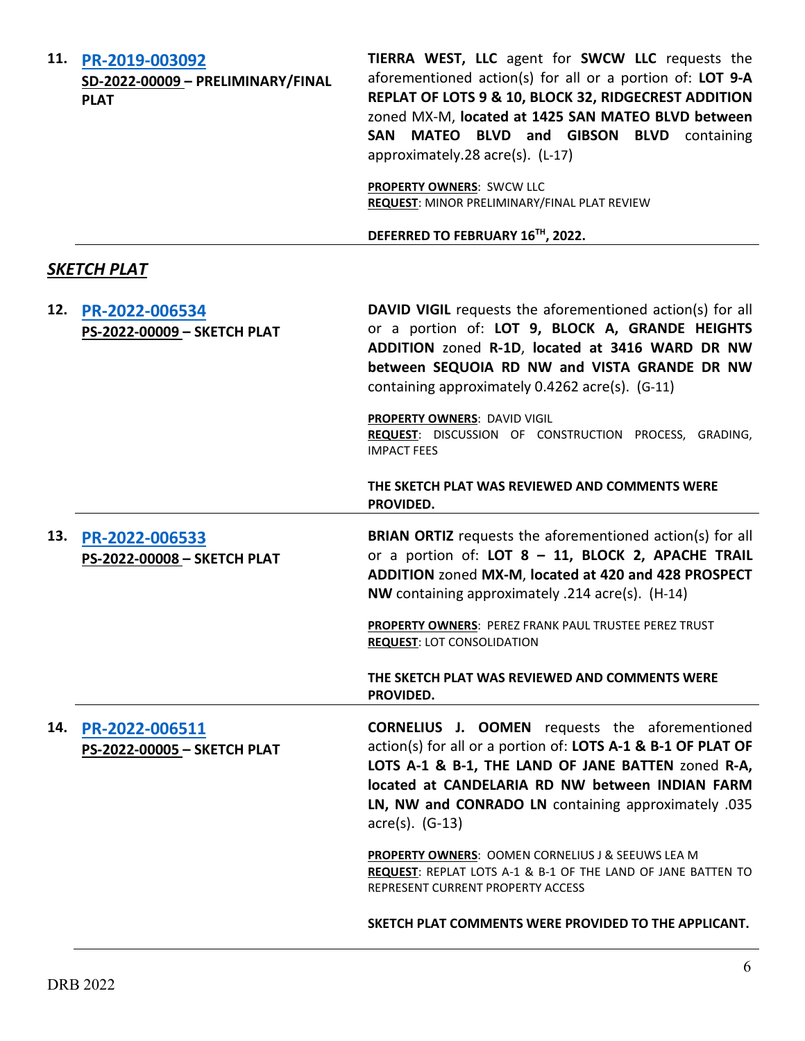| 11. | PR-2019-003092<br>SD-2022-00009 - PRELIMINARY/FINAL<br><b>PLAT</b> | TIERRA WEST, LLC agent for SWCW LLC requests the<br>aforementioned action(s) for all or a portion of: LOT 9-A<br>REPLAT OF LOTS 9 & 10, BLOCK 32, RIDGECREST ADDITION<br>zoned MX-M, located at 1425 SAN MATEO BLVD between<br>SAN MATEO BLVD and GIBSON BLVD containing<br>approximately.28 acre(s). (L-17)       |
|-----|--------------------------------------------------------------------|--------------------------------------------------------------------------------------------------------------------------------------------------------------------------------------------------------------------------------------------------------------------------------------------------------------------|
|     |                                                                    | <b>PROPERTY OWNERS: SWCW LLC</b><br>REQUEST: MINOR PRELIMINARY/FINAL PLAT REVIEW                                                                                                                                                                                                                                   |
|     |                                                                    | DEFERRED TO FEBRUARY 16TH, 2022.                                                                                                                                                                                                                                                                                   |
|     | SKETCH PLAT                                                        |                                                                                                                                                                                                                                                                                                                    |
| 12. | PR-2022-006534<br>PS-2022-00009 - SKETCH PLAT                      | <b>DAVID VIGIL</b> requests the aforementioned action(s) for all<br>or a portion of: LOT 9, BLOCK A, GRANDE HEIGHTS<br>ADDITION zoned R-1D, located at 3416 WARD DR NW<br>between SEQUOIA RD NW and VISTA GRANDE DR NW<br>containing approximately 0.4262 acre(s). (G-11)                                          |
|     |                                                                    | PROPERTY OWNERS: DAVID VIGIL<br>REQUEST: DISCUSSION OF CONSTRUCTION PROCESS, GRADING,<br><b>IMPACT FEES</b>                                                                                                                                                                                                        |
|     |                                                                    | THE SKETCH PLAT WAS REVIEWED AND COMMENTS WERE<br>PROVIDED.                                                                                                                                                                                                                                                        |
| 13. | PR-2022-006533<br>PS-2022-00008 - SKETCH PLAT                      | <b>BRIAN ORTIZ</b> requests the aforementioned action(s) for all<br>or a portion of: LOT 8 - 11, BLOCK 2, APACHE TRAIL<br>ADDITION zoned MX-M, located at 420 and 428 PROSPECT<br>NW containing approximately .214 acre(s). (H-14)                                                                                 |
|     |                                                                    | PROPERTY OWNERS: PEREZ FRANK PAUL TRUSTEE PEREZ TRUST<br><b>REQUEST: LOT CONSOLIDATION</b>                                                                                                                                                                                                                         |
|     |                                                                    | THE SKETCH PLAT WAS REVIEWED AND COMMENTS WERE<br>PROVIDED.                                                                                                                                                                                                                                                        |
| 14. | PR-2022-006511<br>PS-2022-00005 - SKETCH PLAT                      | <b>CORNELIUS J. OOMEN</b> requests the aforementioned<br>action(s) for all or a portion of: LOTS A-1 & B-1 OF PLAT OF<br>LOTS A-1 & B-1, THE LAND OF JANE BATTEN zoned R-A,<br>located at CANDELARIA RD NW between INDIAN FARM<br>LN, NW and CONRADO LN containing approximately .035<br>$\text{acre}(s)$ . (G-13) |
|     |                                                                    | <b>PROPERTY OWNERS: OOMEN CORNELIUS J &amp; SEEUWS LEA M</b><br>REQUEST: REPLAT LOTS A-1 & B-1 OF THE LAND OF JANE BATTEN TO<br>REPRESENT CURRENT PROPERTY ACCESS                                                                                                                                                  |
|     |                                                                    | SKETCH PLAT COMMENTS WERE PROVIDED TO THE APPLICANT.                                                                                                                                                                                                                                                               |